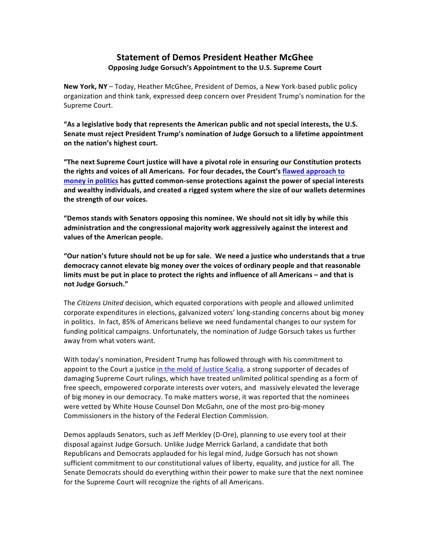## **Statement of Demos President Heather McGhee Opposing Judge Gorsuch's Appointment to the U.S. Supreme Court**

**New York, NY** – Today, Heather McGhee, President of Demos, a New York-based public policy organization and think tank, expressed deep concern over President Trump's nomination for the Supreme Court.

"As a legislative body that represents the American public and not special interests, the U.S. **Senate must reject President Trump's nomination of Judge Gorsuch to a lifetime appointment on the nation's highest court.** 

"The next Supreme Court justice will have a pivotal role in ensuring our Constitution protects **the rights and voices of all Americans.** For four decades, the Court's flawed approach to **money in politics has gutted common-sense protections against the power of special interests** and wealthy individuals, and created a rigged system where the size of our wallets determines the strength of our voices.

"Demos stands with Senators opposing this nominee. We should not sit idly by while this administration and the congressional majority work aggressively against the interest and values of the American people.

"Our nation's future should not be up for sale. We need a justice who understands that a true democracy cannot elevate big money over the voices of ordinary people and that reasonable limits must be put in place to protect the rights and influence of all Americans – and that is **not Judge Gorsuch."**

The *Citizens United* decision, which equated corporations with people and allowed unlimited corporate expenditures in elections, galvanized voters' long-standing concerns about big money in politics. In fact, 85% of Americans believe we need fundamental changes to our system for funding political campaigns. Unfortunately, the nomination of Judge Gorsuch takes us further away from what voters want.

With today's nomination, President Trump has followed through with his commitment to appoint to the Court a justice in the mold of Justice Scalia, a strong supporter of decades of damaging Supreme Court rulings, which have treated unlimited political spending as a form of free speech, empowered corporate interests over voters, and massively elevated the leverage of big money in our democracy. To make matters worse, it was reported that the nominees were vetted by White House Counsel Don McGahn, one of the most pro-big-money Commissioners in the history of the Federal Election Commission.

Demos applauds Senators, such as Jeff Merkley (D-Ore), planning to use every tool at their disposal against Judge Gorsuch. Unlike Judge Merrick Garland, a candidate that both Republicans and Democrats applauded for his legal mind, Judge Gorsuch has not shown sufficient commitment to our constitutional values of liberty, equality, and justice for all. The Senate Democrats should do everything within their power to make sure that the next nominee for the Supreme Court will recognize the rights of all Americans.